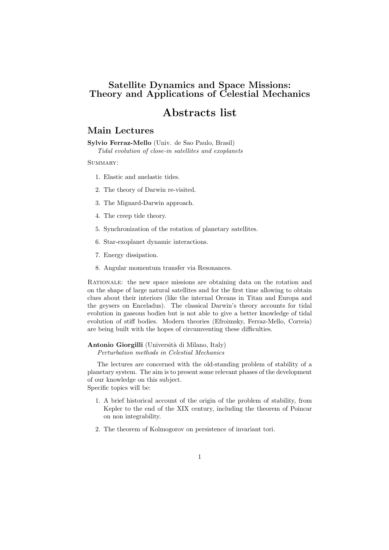# Satellite Dynamics and Space Missions: Theory and Applications of Celestial Mechanics

# Abstracts list

# Main Lectures

Sylvio Ferraz-Mello (Univ. de Sao Paulo, Brasil)

Tidal evolution of close-in satellites and exoplanets

SUMMARY:

- 1. Elastic and anelastic tides.
- 2. The theory of Darwin re-visited.
- 3. The Mignard-Darwin approach.
- 4. The creep tide theory.
- 5. Synchronization of the rotation of planetary satellites.
- 6. Star-exoplanet dynamic interactions.
- 7. Energy dissipation.
- 8. Angular momentum transfer via Resonances.

RATIONALE: the new space missions are obtaining data on the rotation and on the shape of large natural satellites and for the first time allowing to obtain clues about their interiors (like the internal Oceans in Titan and Europa and the geysers on Enceladus). The classical Darwin's theory accounts for tidal evolution in gaseous bodies but is not able to give a better knowledge of tidal evolution of stiff bodies. Modern theories (Efroimsky, Ferraz-Mello, Correia) are being built with the hopes of circumventing these difficulties.

### Antonio Giorgilli (Università di Milano, Italy)

Perturbation methods in Celestial Mechanics

The lectures are concerned with the old-standing problem of stability of a planetary system. The aim is to present some relevant phases of the development of our knowledge on this subject. Specific topics will be:

- 1. A brief historical account of the origin of the problem of stability, from Kepler to the end of the XIX century, including the theorem of Poincar on non integrability.
- 2. The theorem of Kolmogorov on persistence of invariant tori.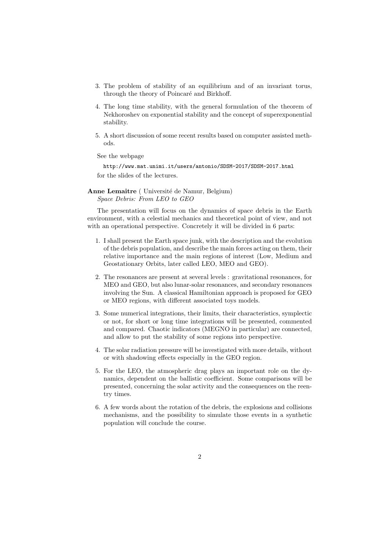- 3. The problem of stability of an equilibrium and of an invariant torus, through the theory of Poincaré and Birkhoff.
- 4. The long time stability, with the general formulation of the theorem of Nekhoroshev on exponential stability and the concept of superexponential stability.
- 5. A short discussion of some recent results based on computer assisted methods.

See the webpage

http://www.mat.unimi.it/users/antonio/SDSM-2017/SDSM-2017.html for the slides of the lectures.

Anne Lemaitre ( Université de Namur, Belgium) Space Debris: From LEO to GEO

The presentation will focus on the dynamics of space debris in the Earth environment, with a celestial mechanics and theoretical point of view, and not with an operational perspective. Concretely it will be divided in 6 parts:

- 1. I shall present the Earth space junk, with the description and the evolution of the debris population, and describe the main forces acting on them, their relative importance and the main regions of interest (Low, Medium and Geostationary Orbits, later called LEO, MEO and GEO).
- 2. The resonances are present at several levels : gravitational resonances, for MEO and GEO, but also lunar-solar resonances, and secondary resonances involving the Sun. A classical Hamiltonian approach is proposed for GEO or MEO regions, with different associated toys models.
- 3. Some numerical integrations, their limits, their characteristics, symplectic or not, for short or long time integrations will be presented, commented and compared. Chaotic indicators (MEGNO in particular) are connected, and allow to put the stability of some regions into perspective.
- 4. The solar radiation pressure will be investigated with more details, without or with shadowing effects especially in the GEO region.
- 5. For the LEO, the atmospheric drag plays an important role on the dynamics, dependent on the ballistic coefficient. Some comparisons will be presented, concerning the solar activity and the consequences on the reentry times.
- 6. A few words about the rotation of the debris, the explosions and collisions mechanisms, and the possibility to simulate those events in a synthetic population will conclude the course.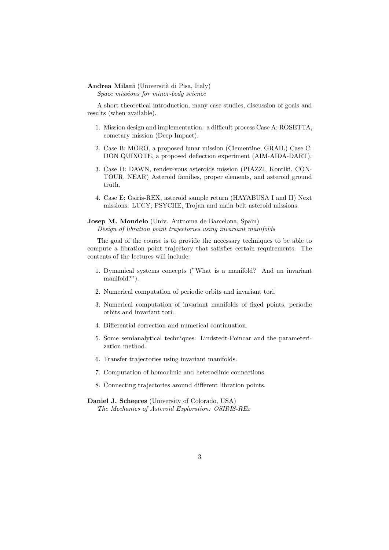### Andrea Milani (Università di Pisa, Italy)

Space missions for minor-body science

A short theoretical introduction, many case studies, discussion of goals and results (when available).

- 1. Mission design and implementation: a difficult process Case A: ROSETTA, cometary mission (Deep Impact).
- 2. Case B: MORO, a proposed lunar mission (Clementine, GRAIL) Case C: DON QUIXOTE, a proposed deflection experiment (AIM-AIDA-DART).
- 3. Case D: DAWN, rendez-vous asteroids mission (PIAZZI, Kontiki, CON-TOUR, NEAR) Asteroid families, proper elements, and asteroid ground truth.
- 4. Case E: Osiris-REX, asteroid sample return (HAYABUSA I and II) Next missions: LUCY, PSYCHE, Trojan and main belt asteroid missions.

Josep M. Mondelo (Univ. Autnoma de Barcelona, Spain) Design of libration point trajectories using invariant manifolds

The goal of the course is to provide the necessary techniques to be able to compute a libration point trajectory that satisfies certain requirements. The contents of the lectures will include:

- 1. Dynamical systems concepts ("What is a manifold? And an invariant manifold?").
- 2. Numerical computation of periodic orbits and invariant tori.
- 3. Numerical computation of invariant manifolds of fixed points, periodic orbits and invariant tori.
- 4. Differential correction and numerical continuation.
- 5. Some semianalytical techniques: Lindstedt-Poincar and the parameterization method.
- 6. Transfer trajectories using invariant manifolds.
- 7. Computation of homoclinic and heteroclinic connections.
- 8. Connecting trajectories around different libration points.

Daniel J. Scheeres (University of Colorado, USA) The Mechanics of Asteroid Exploration: OSIRIS-REx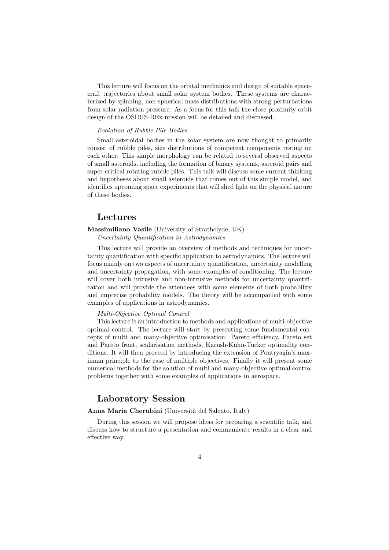This lecture will focus on the orbital mechanics and design of suitable spacecraft trajectories about small solar system bodies. These systems are characterized by spinning, non-spherical mass distributions with strong perturbations from solar radiation pressure. As a focus for this talk the close proximity orbit design of the OSIRIS-REx mission will be detailed and discussed.

#### Evolution of Rubble Pile Bodies

Small asteroidal bodies in the solar system are now thought to primarily consist of rubble piles, size distributions of competent components resting on each other. This simple morphology can be related to several observed aspects of small asteroids, including the formation of binary systems, asteroid pairs and super-critical rotating rubble piles. This talk will discuss some current thinking and hypotheses about small asteroids that comes out of this simple model, and identifies upcoming space experiments that will shed light on the physical nature of these bodies.

# Lectures

## Massimiliano Vasile (University of Strathclyde, UK) Uncertainty Quantification in Astrodynamics

This lecture will provide an overview of methods and techniques for uncertainty quantification with specific application to astrodynamics. The lecture will focus mainly on two aspects of uncertainty quantification, uncertainty modelling and uncertainty propagation, with some examples of conditioning. The lecture will cover both intrusive and non-intrusive methods for uncertainty quantification and will provide the attendees with some elements of both probability and imprecise probability models. The theory will be accompanied with some examples of applications in astrodynamics.

#### Multi-Objective Optimal Control

This lecture is an introduction to methods and applications of multi-objective optimal control. The lecture will start by presenting some fundamental concepts of multi and many-objective optimisation: Pareto efficiency, Pareto set and Pareto front, scalarisation methods, Karush-Kuhn-Tucker optimality conditions. It will then proceed by introducing the extension of Pontryagin's maximum principle to the case of multiple objectives. Finally it will present some numerical methods for the solution of multi and many-objective optimal control problems together with some examples of applications in aerospace.

# Laboratory Session

## Anna Maria Cherubini (Università del Salento, Italy)

During this session we will propose ideas for preparing a scientific talk, and discuss how to structure a presentation and communicate results in a clear and effective way.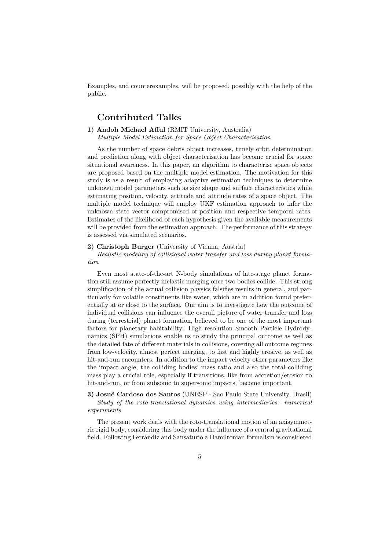Examples, and counterexamples, will be proposed, possibly with the help of the public.

# Contributed Talks

## 1) Andoh Michael Afful (RMIT University, Australia)

Multiple Model Estimation for Space Object Characterisation

As the number of space debris object increases, timely orbit determination and prediction along with object characterisation has become crucial for space situational awareness. In this paper, an algorithm to characterise space objects are proposed based on the multiple model estimation. The motivation for this study is as a result of employing adaptive estimation techniques to determine unknown model parameters such as size shape and surface characteristics while estimating position, velocity, attitude and attitude rates of a space object. The multiple model technique will employ UKF estimation approach to infer the unknown state vector compromised of position and respective temporal rates. Estimates of the likelihood of each hypothesis given the available measurements will be provided from the estimation approach. The performance of this strategy is assessed via simulated scenarios.

#### 2) Christoph Burger (University of Vienna, Austria)

Realistic modeling of collisional water transfer and loss during planet formation

Even most state-of-the-art N-body simulations of late-stage planet formation still assume perfectly inelastic merging once two bodies collide. This strong simplification of the actual collision physics falsifies results in general, and particularly for volatile constituents like water, which are in addition found preferentially at or close to the surface. Our aim is to investigate how the outcome of individual collisions can influence the overall picture of water transfer and loss during (terrestrial) planet formation, believed to be one of the most important factors for planetary habitability. High resolution Smooth Particle Hydrodynamics (SPH) simulations enable us to study the principal outcome as well as the detailed fate of different materials in collisions, covering all outcome regimes from low-velocity, almost perfect merging, to fast and highly erosive, as well as hit-and-run encounters. In addition to the impact velocity other parameters like the impact angle, the colliding bodies' mass ratio and also the total colliding mass play a crucial role, especially if transitions, like from accretion/erosion to hit-and-run, or from subsonic to supersonic impacts, become important.

## 3) Josué Cardoso dos Santos (UNESP - Sao Paulo State University, Brasil) Study of the roto-translational dynamics using intermediaries: numerical experiments

The present work deals with the roto-translational motion of an axisymmetric rigid body, considering this body under the influence of a central gravitational field. Following Ferrándiz and Sansaturio a Hamiltonian formalism is considered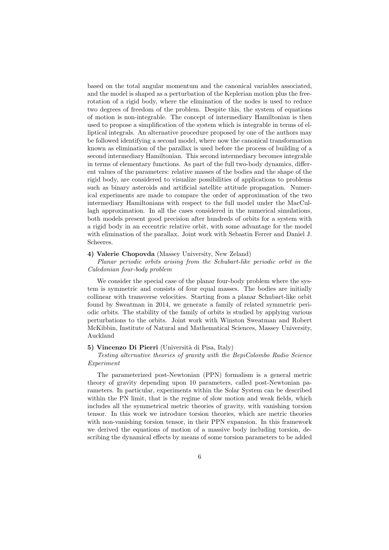based on the total angular momentum and the canonical variables associated, and the model is shaped as a perturbation of the Keplerian motion plus the freerotation of a rigid body, where the elimination of the nodes is used to reduce two degrees of freedom of the problem. Despite this, the system of equations of motion is non-integrable. The concept of intermediary Hamiltonian is then used to propose a simplification of the system which is integrable in terms of elliptical integrals. An alternative procedure proposed by one of the authors may be followed identifying a second model, where now the canonical transformation known as elimination of the parallax is used before the process of building of a second intermediary Hamiltonian. This second intermediary becomes integrable in terms of elementary functions. As part of the full two-body dynamics, different values of the parameters: relative masses of the bodies and the shape of the rigid body, are considered to visualize possibilities of applications to problems such as binary asteroids and artificial satellite attitude propagation. Numerical experiments are made to compare the order of approximation of the two intermediary Hamiltonians with respect to the full model under the MacCullagh approximation. In all the cases considered in the numerical simulations, both models present good precision after hundreds of orbits for a system with a rigid body in an eccentric relative orbit, with some advantage for the model with elimination of the parallax. Joint work with Sebastin Ferrer and Daniel J. Scheeres.

### 4) Valerie Chopovda (Massey University, New Zeland)

Planar periodic orbits arising from the Schubart-like periodic orbit in the Caledonian four-body problem

We consider the special case of the planar four-body problem where the system is symmetric and consists of four equal masses. The bodies are initially collinear with transverse velocities. Starting from a planar Schubart-like orbit found by Sweatman in 2014, we generate a family of related symmetric periodic orbits. The stability of the family of orbits is studied by applying various perturbations to the orbits. Joint work with Winston Sweatman and Robert McKibbin, Institute of Natural and Mathematical Sciences, Massey University, Auckland

#### 5) Vincenzo Di Pierri (Università di Pisa, Italy)

## Testing alternative theories of gravity with the BepiColombo Radio Science Experiment

The parameterized post-Newtonian (PPN) formalism is a general metric theory of gravity depending upon 10 parameters, called post-Newtonian parameters. In particular, experiments within the Solar System can be described within the PN limit, that is the regime of slow motion and weak fields, which includes all the symmetrical metric theories of gravity, with vanishing torsion tensor. In this work we introduce torsion theories, which are metric theories with non-vanishing torsion tensor, in their PPN expansion. In this framework we derived the equations of motion of a massive body including torsion, describing the dynamical effects by means of some torsion parameters to be added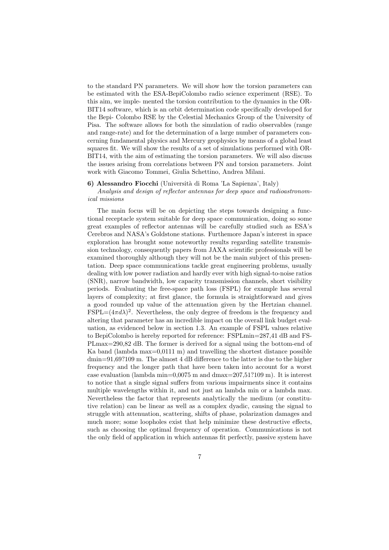to the standard PN parameters. We will show how the torsion parameters can be estimated with the ESA-BepiColombo radio science experiment (RSE). To this aim, we imple- mented the torsion contribution to the dynamics in the OR-BIT14 software, which is an orbit determination code specifically developed for the Bepi- Colombo RSE by the Celestial Mechanics Group of the University of Pisa. The software allows for both the simulation of radio observables (range and range-rate) and for the determination of a large number of parameters concerning fundamental physics and Mercury geophysics by means of a global least squares fit. We will show the results of a set of simulations performed with OR-BIT14, with the aim of estimating the torsion parameters. We will also discuss the issues arising from correlations between PN and torsion parameters. Joint work with Giacomo Tommei, Giulia Schettino, Andrea Milani.

#### 6) Alessandro Fiocchi (Universit`a di Roma 'La Sapienza', Italy)

Analysis and design of reflector antennas for deep space and radioastronomical missions

The main focus will be on depicting the steps towards designing a functional receptacle system suitable for deep space communication, doing so some great examples of reflector antennas will be carefully studied such as ESA's Cerebros and NASA's Goldstone stations. Furthemore Japan's interest in space exploration has brought some noteworthy results regarding satellite transmission technology, consequently papers from JAXA scientific professionals will be examined thoroughly although they will not be the main subject of this presentation. Deep space communications tackle great engineering problems, usually dealing with low power radiation and hardly ever with high signal-to-noise ratios (SNR), narrow bandwidth, low capacity transmission channels, short visibility periods. Evaluating the free-space path loss (FSPL) for example has several layers of complexity; at first glance, the formula is straightforward and gives a good rounded up value of the attenuation given by the Hertzian channel.  $\text{FSPL} = (4\pi d\lambda)^2$ . Nevertheless, the only degree of freedom is the frequency and altering that parameter has an incredible impact on the overall link budget evaluation, as evidenced below in section 1.3. An example of FSPL values relative to BepiColombo is hereby reported for reference: FSPLmin=287,41 dB and FS-PLmax=290,82 dB. The former is derived for a signal using the bottom-end of Ka band (lambda max $=0.0111$  m) and travelling the shortest distance possible dmin=91,69?109 m. The almost 4 dB difference to the latter is due to the higher frequency and the longer path that have been taken into account for a worst case evaluation (lambda min=0,0075 m and dmax=207,51?109 m). It is interest to notice that a single signal suffers from various impairments since it contains multiple wavelengths within it, and not just an lambda min or a lambda max. Nevertheless the factor that represents analytically the medium (or constitutive relation) can be linear as well as a complex dyadic, causing the signal to struggle with attenuation, scattering, shifts of phase, polarization damages and much more; some loopholes exist that help minimize these destructive effects, such as choosing the optimal frequency of operation. Communications is not the only field of application in which antennas fit perfectly, passive system have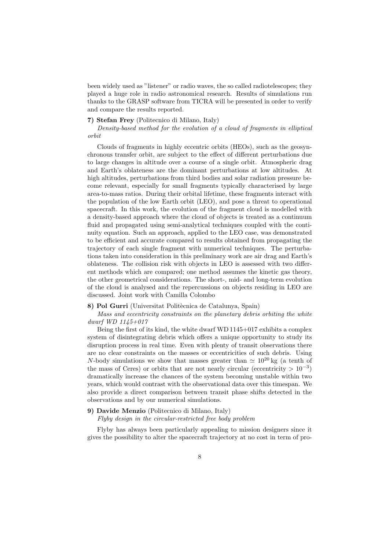been widely used as "listener" or radio waves, the so called radiotelescopes; they played a huge role in radio astronomical research. Results of simulations run thanks to the GRASP software from TICRA will be presented in order to verify and compare the results reported.

## 7) Stefan Frey (Politecnico di Milano, Italy)

Density-based method for the evolution of a cloud of fragments in elliptical orbit

Clouds of fragments in highly eccentric orbits (HEOs), such as the geosynchronous transfer orbit, are subject to the effect of different perturbations due to large changes in altitude over a course of a single orbit. Atmospheric drag and Earth's oblateness are the dominant perturbations at low altitudes. At high altitudes, perturbations from third bodies and solar radiation pressure become relevant, especially for small fragments typically characterised by large area-to-mass ratios. During their orbital lifetime, these fragments interact with the population of the low Earth orbit (LEO), and pose a threat to operational spacecraft. In this work, the evolution of the fragment cloud is modelled with a density-based approach where the cloud of objects is treated as a continuum fluid and propagated using semi-analytical techniques coupled with the continuity equation. Such an approach, applied to the LEO case, was demonstrated to be efficient and accurate compared to results obtained from propagating the trajectory of each single fragment with numerical techniques. The perturbations taken into consideration in this preliminary work are air drag and Earth's oblateness. The collision risk with objects in LEO is assessed with two different methods which are compared; one method assumes the kinetic gas theory, the other geometrical considerations. The short-, mid- and long-term evolution of the cloud is analysed and the repercussions on objects residing in LEO are discussed. Joint work with Camilla Colombo

#### 8) Pol Gurri (Universitat Politècnica de Catalunya, Spain)

Mass and eccentricity constraints on the planetary debris orbiting the white dwarf WD 1145+017

Being the first of its kind, the white dwarf WD 1145+017 exhibits a complex system of disintegrating debris which offers a unique opportunity to study its disruption process in real time. Even with plenty of transit observations there are no clear constraints on the masses or eccentricities of such debris. Using N-body simulations we show that masses greater than  $\simeq 10^{20}$  kg (a tenth of the mass of Ceres) or orbits that are not nearly circular (eccentricity  $> 10^{-3}$ ) dramatically increase the chances of the system becoming unstable within two years, which would contrast with the observational data over this timespan. We also provide a direct comparison between transit phase shifts detected in the observations and by our numerical simulations.

## 9) Davide Menzio (Politecnico di Milano, Italy)

Flyby design in the circular-restricted free body problem

Flyby has always been particularly appealing to mission designers since it gives the possibility to alter the spacecraft trajectory at no cost in term of pro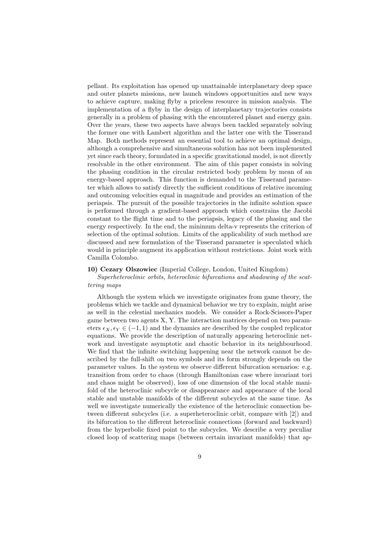pellant. Its exploitation has opened up unattainable interplanetary deep space and outer planets missions, new launch windows opportunities and new ways to achieve capture, making flyby a priceless resource in mission analysis. The implementation of a flyby in the design of interplanetary trajectories consists generally in a problem of phasing with the encountered planet and energy gain. Over the years, these two aspects have always been tackled separately solving the former one with Lambert algorithm and the latter one with the Tisserand Map. Both methods represent an essential tool to achieve an optimal design, although a comprehensive and simultaneous solution has not been implemented yet since each theory, formulated in a specific gravitational model, is not directly resolvable in the other environment. The aim of this paper consists in solving the phasing condition in the circular restricted body problem by mean of an energy-based approach. This function is demanded to the Tisserand parameter which allows to satisfy directly the sufficient conditions of relative incoming and outcoming velocities equal in magnitude and provides an estimation of the periapsis. The pursuit of the possible trajectories in the infinite solution space is performed through a gradient-based approach which constrains the Jacobi constant to the flight time and to the periapsis, legacy of the phasing and the energy respectively. In the end, the minimum delta-v represents the criterion of selection of the optimal solution. Limits of the applicability of such method are discussed and new formulation of the Tisserand parameter is speculated which would in principle augment its application without restrictions. Joint work with Camilla Colombo.

### 10) Cezary Olszowiec (Imperial College, London, United Kingdom)

Superheteroclinic orbits, heteroclinic bifurcations and shadowing of the scattering maps

Although the system which we investigate originates from game theory, the problems which we tackle and dynamical behavior we try to explain, might arise as well in the celestial mechanics models. We consider a Rock-Scissors-Paper game between two agents X, Y. The interaction matrices depend on two parameters  $\epsilon_X, \epsilon_Y \in (-1, 1)$  and the dynamics are described by the coupled replicator equations. We provide the description of naturally appearing heteroclinic network and investigate asymptotic and chaotic behavior in its neighbourhood. We find that the infinite switching happening near the network cannot be described by the full-shift on two symbols and its form strongly depends on the parameter values. In the system we observe different bifurcation scenarios: e.g. transition from order to chaos (through Hamiltonian case where invariant tori and chaos might be observed), loss of one dimension of the local stable manifold of the heteroclinic subcycle or disappearance and appearance of the local stable and unstable manifolds of the different subcycles at the same time. As well we investigate numerically the existence of the heteroclinic connection between different subcycles (i.e. a superheteroclinic orbit, compare with [2]) and its bifurcation to the different heteroclinic connections (forward and backward) from the hyperbolic fixed point to the subcycles. We describe a very peculiar closed loop of scattering maps (between certain invariant manifolds) that ap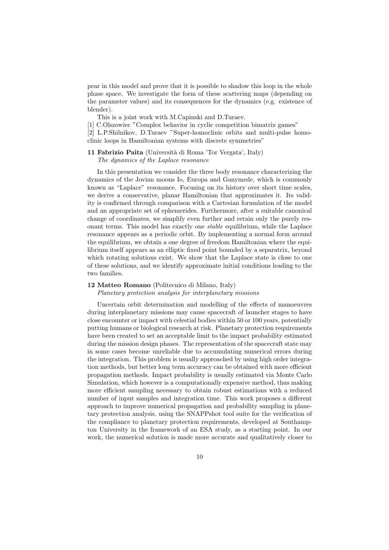pear in this model and prove that it is possible to shadow this loop in the whole phase space. We investigate the form of these scattering maps (depending on the parameter values) and its consequences for the dynamics (e.g. existence of blender).

This is a joint work with M.Capinski and D.Turaev.

[1] C.Olszowiec "Complex behavior in cyclic competition bimatrix games"

[2] L.P.Shilnikov, D.Turaev "Super-homoclinic orbits and multi-pulse homoclinic loops in Hamiltonian systems with discrete symmetries"

11 Fabrizio Paita (Università di Roma 'Tor Vergata', Italy) The dynamics of the Laplace resonance

In this presentation we consider the three body resonance characterizing the dynamics of the Jovian moons Io, Europa and Ganymede, which is commonly known as "Laplace" resonance. Focusing on its history over short time scales, we derive a conservative, planar Hamiltonian that approximates it. Its validity is confirmed through comparison with a Cartesian formulation of the model and an appropriate set of ephemerides. Furthermore, after a suitable canonical change of coordinates, we simplify even further and retain only the purely resonant terms. This model has exactly one stable equilibrium, while the Laplace resonance appears as a periodic orbit. By implementing a normal form around the equilibrium, we obtain a one degree of freedom Hamiltonian where the equilibrium itself appears as an elliptic fixed point bounded by a separatrix, beyond which rotating solutions exist. We show that the Laplace state is close to one of these solutions, and we identify approximate initial conditions leading to the two families.

## 12 Matteo Romano (Politecnico di Milano, Italy)

Planetary protection analysis for interplanetary missions

Uncertain orbit determination and modelling of the effects of manoeuvres during interplanetary missions may cause spacecraft of launcher stages to have close encounter or impact with celestial bodies within 50 or 100 years, potentially putting humans or biological research at risk. Planetary protection requirements have been created to set an acceptable limit to the impact probability estimated during the mission design phases. The representation of the spacecraft state may in some cases become unreliable due to accumulating numerical errors during the integration. This problem is usually approached by using high order integration methods, but better long term accuracy can be obtained with more efficient propagation methods. Impact probability is usually estimated via Monte Carlo Simulation, which however is a computationally expensive method, thus making more efficient sampling necessary to obtain robust estimations with a reduced number of input samples and integration time. This work proposes a different approach to improve numerical propagation and probability sampling in planetary protection analysis, using the SNAPPshot tool suite for the verification of the compliance to planetary protection requirements, developed at Southampton University in the framework of an ESA study, as a starting point. In our work, the numerical solution is made more accurate and qualitatively closer to